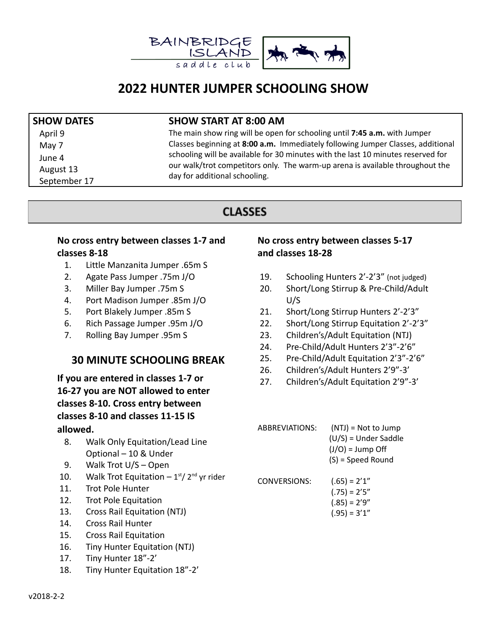

# **2022 HUNTER JUMPER SCHOOLING SHOW**

May 7 June 4 August 13 September 17

#### **SHOW DATES SHOW START AT 8:00 AM**

April 9 The main show ring will be open for schooling until **7:45 a.m.** with Jumper Classes beginning at **8:00 a.m.** Immediately following Jumper Classes, additional schooling will be available for 30 minutes with the last 10 minutes reserved for our walk/trot competitors only. The warm-up arena is available throughout the day for additional schooling.

## **CLASSES**

#### **No cross entry between classes 1-7 and classes 8-18**

- 1. Little Manzanita Jumper .65m S
- 2. Agate Pass Jumper .75m J/O
- 3. Miller Bay Jumper .75m S
- 4. Port Madison Jumper .85m J/O
- 5. Port Blakely Jumper .85m S
- 6. Rich Passage Jumper .95m J/O
- 7. Rolling Bay Jumper .95m S

## **30 MINUTE SCHOOLING BREAK**

**If you are entered in classes 1-7 or 16-27 you are NOT allowed to enter classes 8-10. Cross entry between classes 8-10 and classes 11-15 IS allowed.**

- 8. Walk Only Equitation/Lead Line Optional – 10 & Under
- 9. Walk Trot U/S Open
- 10. Walk Trot Equitation  $-1$ <sup>st</sup>/ 2<sup>nd</sup> yr rider
- 11. Trot Pole Hunter
- 12. Trot Pole Equitation
- 13. Cross Rail Equitation (NTJ)
- 14. Cross Rail Hunter
- 15. Cross Rail Equitation
- 16. Tiny Hunter Equitation (NTJ)
- 17. Tiny Hunter 18"-2'
- 18. Tiny Hunter Equitation 18"-2'

### **No cross entry between classes 5-17 and classes 18-28**

- 19. Schooling Hunters 2'-2'3" (not judged)
- 20. Short/Long Stirrup & Pre-Child/Adult U/S
- 21. Short/Long Stirrup Hunters 2'-2'3"
- 22. Short/Long Stirrup Equitation 2'-2'3"
- 23. Children's/Adult Equitation (NTJ)
- 24. Pre-Child/Adult Hunters 2'3"-2'6"
- 25. Pre-Child/Adult Equitation 2'3"-2'6"
- 26. Children's/Adult Hunters 2'9"-3'
- 27. Children's/Adult Equitation 2'9"-3'

| ABBREVIATIONS:      | $(NT)$ = Not to Jump<br>$(U/S)$ = Under Saddle<br>$(J/O) = Jump Off$<br>(S) = Speed Round |
|---------------------|-------------------------------------------------------------------------------------------|
| <b>CONVERSIONS:</b> | $(.65) = 2'1"$<br>$(.75) = 2'5"$<br>$(.85) = 2'9''$                                       |

 $(.95) = 3'1''$